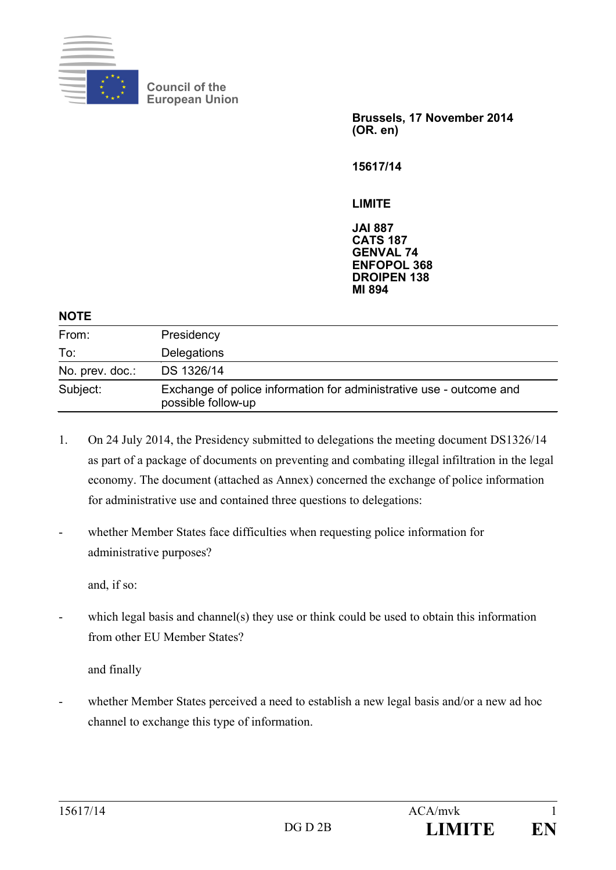

**Council of the European Union**

> **Brussels, 17 November 2014 (OR. en)**

**15617/14**

**LIMITE**

**JAI 887 CATS 187 GENVAL 74 ENFOPOL 368 DROIPEN 138 MI 894**

## **NOTE**

| From:           | Presidency                                                                                |
|-----------------|-------------------------------------------------------------------------------------------|
| To:             | Delegations                                                                               |
| No. prev. doc.: | DS 1326/14                                                                                |
| Subject:        | Exchange of police information for administrative use - outcome and<br>possible follow-up |

- 1. On 24 July 2014, the Presidency submitted to delegations the meeting document DS1326/14 as part of a package of documents on preventing and combating illegal infiltration in the legal economy. The document (attached as Annex) concerned the exchange of police information for administrative use and contained three questions to delegations:
- whether Member States face difficulties when requesting police information for administrative purposes?

and, if so:

- which legal basis and channel(s) they use or think could be used to obtain this information from other EU Member States?

and finally

whether Member States perceived a need to establish a new legal basis and/or a new ad hoc channel to exchange this type of information.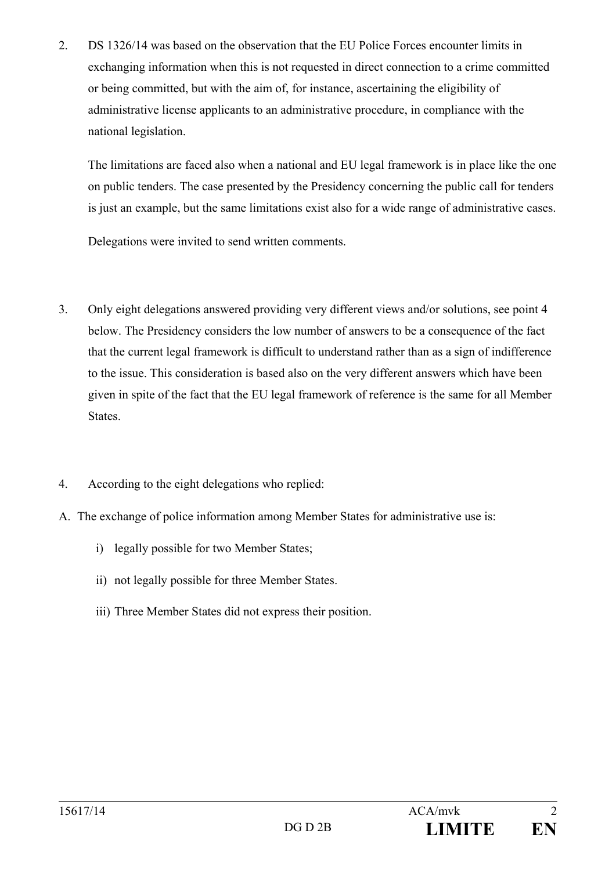2. DS 1326/14 was based on the observation that the EU Police Forces encounter limits in exchanging information when this is not requested in direct connection to a crime committed or being committed, but with the aim of, for instance, ascertaining the eligibility of administrative license applicants to an administrative procedure, in compliance with the national legislation.

The limitations are faced also when a national and EU legal framework is in place like the one on public tenders. The case presented by the Presidency concerning the public call for tenders is just an example, but the same limitations exist also for a wide range of administrative cases.

Delegations were invited to send written comments.

- 3. Only eight delegations answered providing very different views and/or solutions, see point 4 below. The Presidency considers the low number of answers to be a consequence of the fact that the current legal framework is difficult to understand rather than as a sign of indifference to the issue. This consideration is based also on the very different answers which have been given in spite of the fact that the EU legal framework of reference is the same for all Member States.
- 4. According to the eight delegations who replied:
- A. The exchange of police information among Member States for administrative use is:
	- i) legally possible for two Member States;
	- ii) not legally possible for three Member States.
	- iii) Three Member States did not express their position.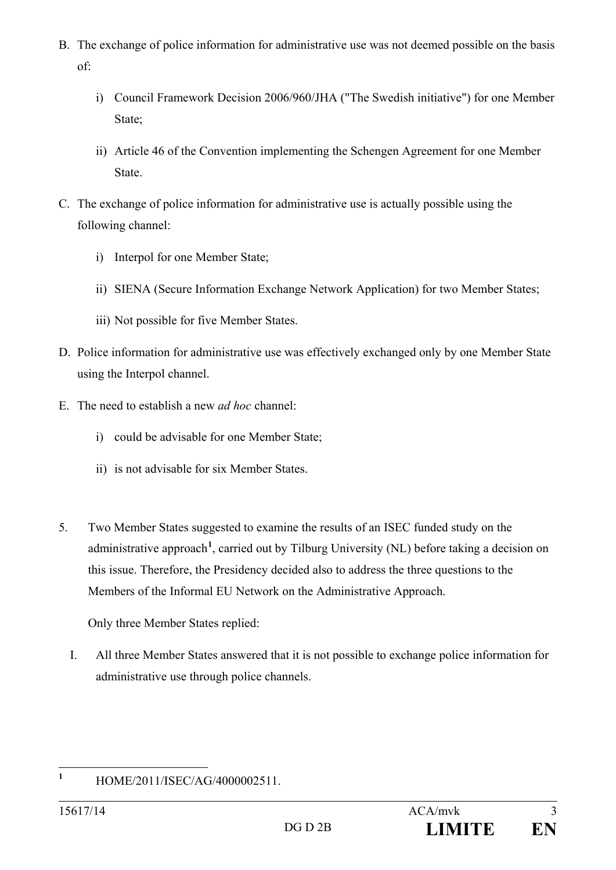- B. The exchange of police information for administrative use was not deemed possible on the basis of:
	- i) Council Framework Decision 2006/960/JHA ("The Swedish initiative") for one Member State;
	- ii) Article 46 of the Convention implementing the Schengen Agreement for one Member State.
- C. The exchange of police information for administrative use is actually possible using the following channel:
	- i) Interpol for one Member State;
	- ii) SIENA (Secure Information Exchange Network Application) for two Member States;
	- iii) Not possible for five Member States.
- D. Police information for administrative use was effectively exchanged only by one Member State using the Interpol channel.
- E. The need to establish a new *ad hoc* channel:
	- i) could be advisable for one Member State;
	- ii) is not advisable for six Member States.
- 5. Two Member States suggested to examine the results of an ISEC funded study on the administrative approach<sup>[1](#page-2-0)</sup>, carried out by Tilburg University (NL) before taking a decision on this issue. Therefore, the Presidency decided also to address the three questions to the Members of the Informal EU Network on the Administrative Approach.

Only three Member States replied:

I. All three Member States answered that it is not possible to exchange police information for administrative use through police channels.

<span id="page-2-0"></span>**<sup>1</sup>** HOME/2011/ISEC/AG/4000002511.  $\mathbf{1}$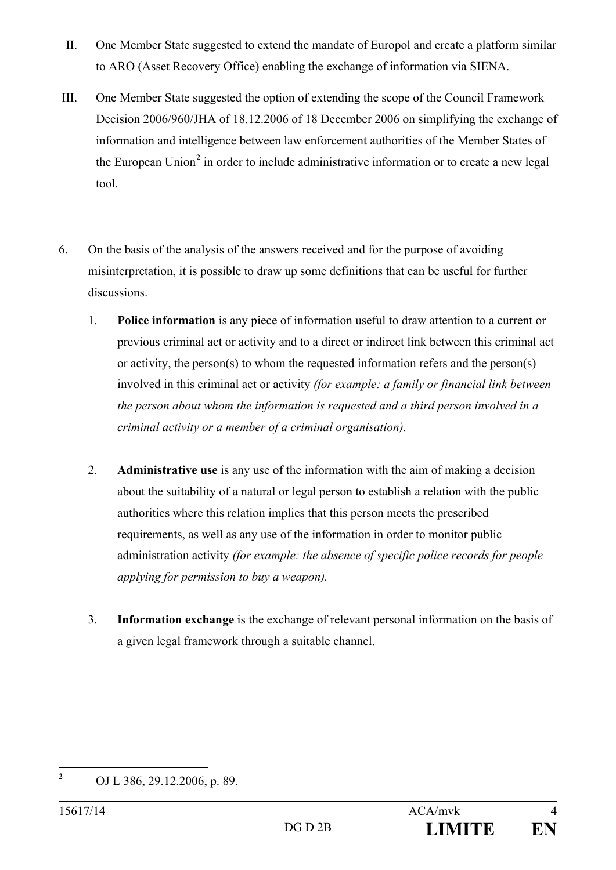- II. One Member State suggested to extend the mandate of Europol and create a platform similar to ARO (Asset Recovery Office) enabling the exchange of information via SIENA.
- III. One Member State suggested the option of extending the scope of the Council Framework Decision 2006/960/JHA of 18.12.2006 of 18 December 2006 on simplifying the exchange of information and intelligence between law enforcement authorities of the Member States of the European Union**[2](#page-3-0)** in order to include administrative information or to create a new legal tool.
- 6. On the basis of the analysis of the answers received and for the purpose of avoiding misinterpretation, it is possible to draw up some definitions that can be useful for further discussions.
	- 1. **Police information** is any piece of information useful to draw attention to a current or previous criminal act or activity and to a direct or indirect link between this criminal act or activity, the person(s) to whom the requested information refers and the person(s) involved in this criminal act or activity *(for example: a family or financial link between the person about whom the information is requested and a third person involved in a criminal activity or a member of a criminal organisation).*
	- 2. **Administrative use** is any use of the information with the aim of making a decision about the suitability of a natural or legal person to establish a relation with the public authorities where this relation implies that this person meets the prescribed requirements, as well as any use of the information in order to monitor public administration activity *(for example: the absence of specific police records for people applying for permission to buy a weapon).*
	- 3. **Information exchange** is the exchange of relevant personal information on the basis of a given legal framework through a suitable channel.

<span id="page-3-0"></span>**<sup>2</sup>** OJ L 386, 29.12.2006, p. 89.  $\overline{2}$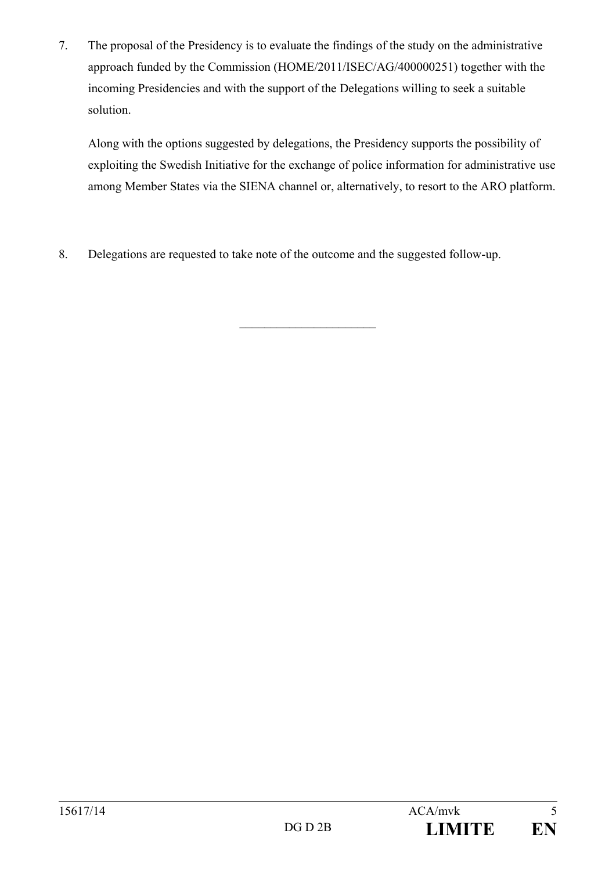7. The proposal of the Presidency is to evaluate the findings of the study on the administrative approach funded by the Commission (HOME/2011/ISEC/AG/400000251) together with the incoming Presidencies and with the support of the Delegations willing to seek a suitable solution.

Along with the options suggested by delegations, the Presidency supports the possibility of exploiting the Swedish Initiative for the exchange of police information for administrative use among Member States via the SIENA channel or, alternatively, to resort to the ARO platform.

8. Delegations are requested to take note of the outcome and the suggested follow-up.

 $\overline{\phantom{a}}$  , which is a set of the set of the set of the set of the set of the set of the set of the set of the set of the set of the set of the set of the set of the set of the set of the set of the set of the set of th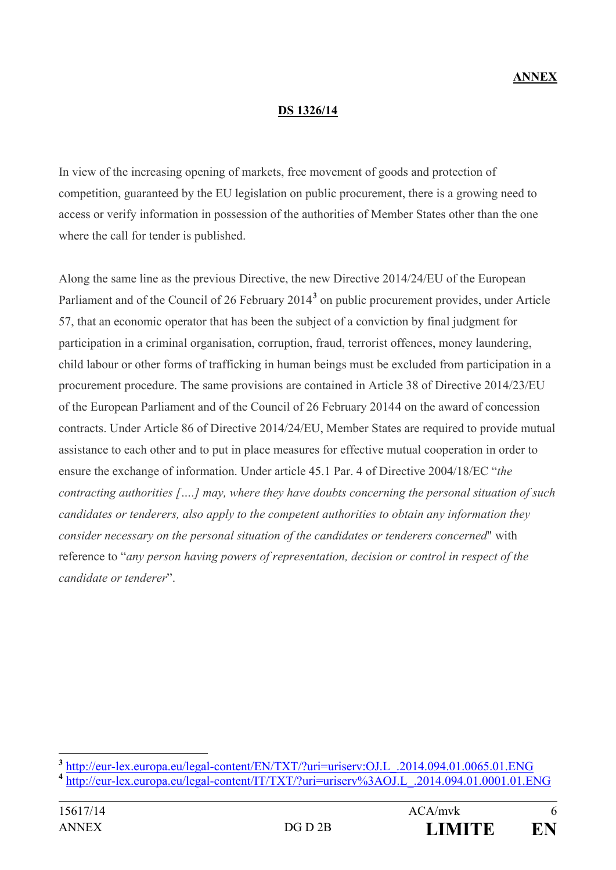## **DS 1326/14**

In view of the increasing opening of markets, free movement of goods and protection of competition, guaranteed by the EU legislation on public procurement, there is a growing need to access or verify information in possession of the authorities of Member States other than the one where the call for tender is published.

Along the same line as the previous Directive, the new Directive 2014/24/EU of the European Parliament and of the Council of 26 February 2014**[3](#page-5-0)** on public procurement provides, under Article 57, that an economic operator that has been the subject of a conviction by final judgment for participation in a criminal organisation, corruption, fraud, terrorist offences, money laundering, child labour or other forms of trafficking in human beings must be excluded from participation in a procurement procedure. The same provisions are contained in Article 38 of Directive 2014/23/EU of the European Parliament and of the Council of 26 February 2014[4](#page-5-1) on the award of concession contracts. Under Article 86 of Directive 2014/24/EU, Member States are required to provide mutual assistance to each other and to put in place measures for effective mutual cooperation in order to ensure the exchange of information. Under article 45.1 Par. 4 of Directive 2004/18/EC "*the contracting authorities [….] may, where they have doubts concerning the personal situation of such candidates or tenderers, also apply to the competent authorities to obtain any information they consider necessary on the personal situation of the candidates or tenderers concerned*" with reference to "*any person having powers of representation, decision or control in respect of the candidate or tenderer*".

 $\overline{a}$ 

<span id="page-5-1"></span><span id="page-5-0"></span>**<sup>3</sup>** [http://eur-lex.europa.eu/legal-content/EN/TXT/?uri=uriserv:OJ.L\\_.2014.094.01.0065.01.ENG](http://eur-lex.europa.eu/legal-content/EN/TXT/?uri=uriserv:OJ.L_.2014.094.01.0065.01.ENG) **<sup>4</sup>** [http://eur-lex.europa.eu/legal-content/IT/TXT/?uri=uriserv%3AOJ.L\\_.2014.094.01.0001.01.ENG](http://eur-lex.europa.eu/legal-content/IT/TXT/?uri=uriserv%3AOJ.L_.2014.094.01.0001.01.ENG)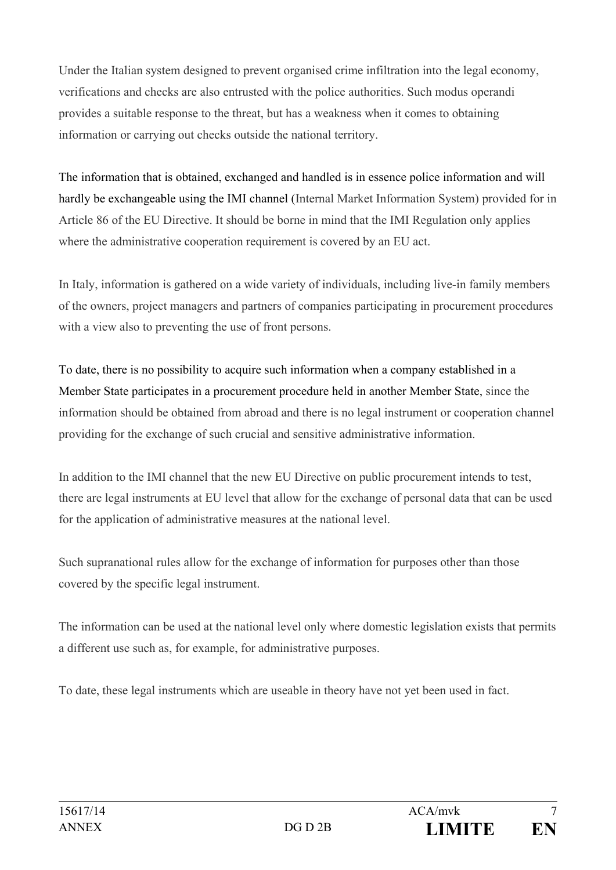Under the Italian system designed to prevent organised crime infiltration into the legal economy, verifications and checks are also entrusted with the police authorities. Such modus operandi provides a suitable response to the threat, but has a weakness when it comes to obtaining information or carrying out checks outside the national territory.

The information that is obtained, exchanged and handled is in essence police information and will hardly be exchangeable using the IMI channel (Internal Market Information System) provided for in Article 86 of the EU Directive. It should be borne in mind that the IMI Regulation only applies where the administrative cooperation requirement is covered by an EU act.

In Italy, information is gathered on a wide variety of individuals, including live-in family members of the owners, project managers and partners of companies participating in procurement procedures with a view also to preventing the use of front persons.

To date, there is no possibility to acquire such information when a company established in a Member State participates in a procurement procedure held in another Member State, since the information should be obtained from abroad and there is no legal instrument or cooperation channel providing for the exchange of such crucial and sensitive administrative information.

In addition to the IMI channel that the new EU Directive on public procurement intends to test, there are legal instruments at EU level that allow for the exchange of personal data that can be used for the application of administrative measures at the national level.

Such supranational rules allow for the exchange of information for purposes other than those covered by the specific legal instrument.

The information can be used at the national level only where domestic legislation exists that permits a different use such as, for example, for administrative purposes.

To date, these legal instruments which are useable in theory have not yet been used in fact.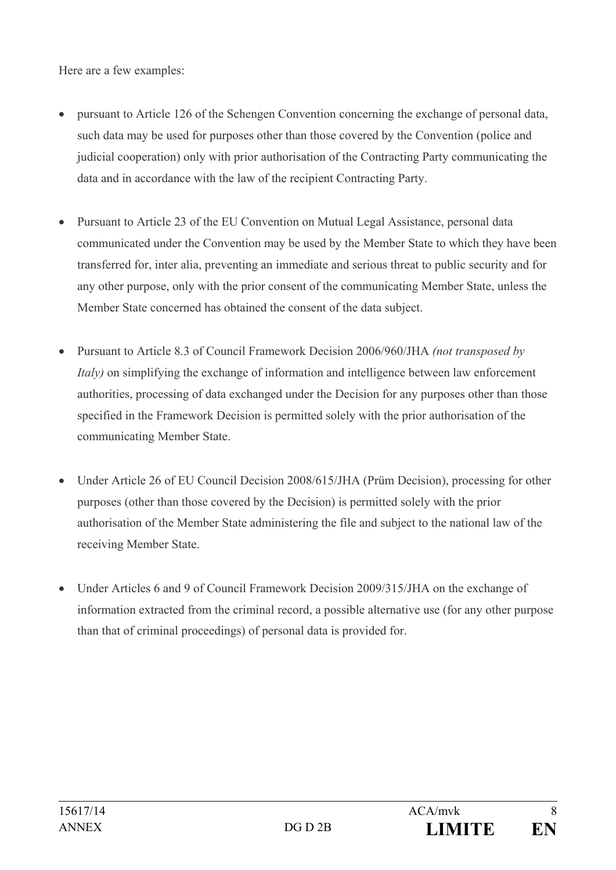Here are a few examples:

- pursuant to Article 126 of the Schengen Convention concerning the exchange of personal data, such data may be used for purposes other than those covered by the Convention (police and judicial cooperation) only with prior authorisation of the Contracting Party communicating the data and in accordance with the law of the recipient Contracting Party.
- Pursuant to Article 23 of the EU Convention on Mutual Legal Assistance, personal data communicated under the Convention may be used by the Member State to which they have been transferred for, inter alia, preventing an immediate and serious threat to public security and for any other purpose, only with the prior consent of the communicating Member State, unless the Member State concerned has obtained the consent of the data subject.
- Pursuant to Article 8.3 of Council Framework Decision 2006/960/JHA *(not transposed by Italy)* on simplifying the exchange of information and intelligence between law enforcement authorities, processing of data exchanged under the Decision for any purposes other than those specified in the Framework Decision is permitted solely with the prior authorisation of the communicating Member State.
- Under Article 26 of EU Council Decision 2008/615/JHA (Prüm Decision), processing for other purposes (other than those covered by the Decision) is permitted solely with the prior authorisation of the Member State administering the file and subject to the national law of the receiving Member State.
- Under Articles 6 and 9 of Council Framework Decision 2009/315/JHA on the exchange of information extracted from the criminal record, a possible alternative use (for any other purpose than that of criminal proceedings) of personal data is provided for.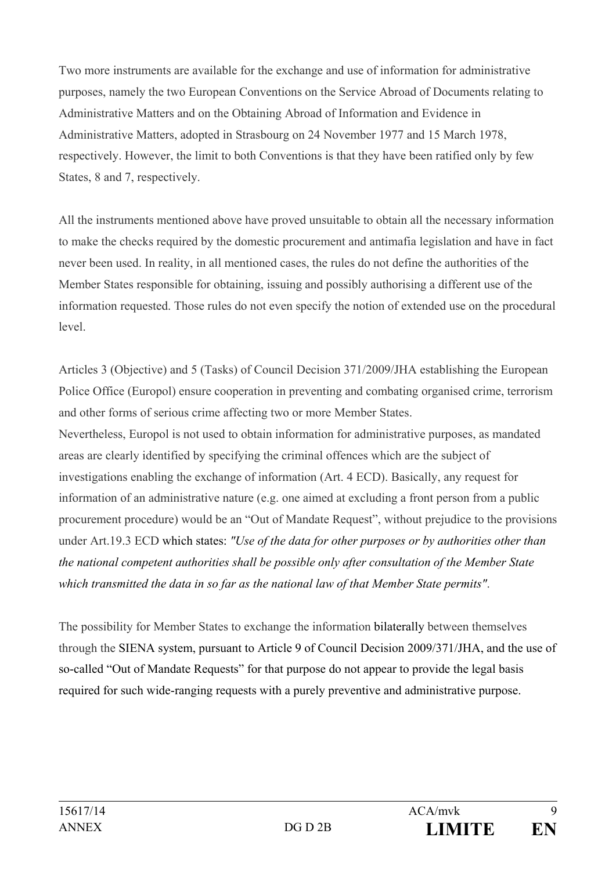Two more instruments are available for the exchange and use of information for administrative purposes, namely the two European Conventions on the Service Abroad of Documents relating to Administrative Matters and on the Obtaining Abroad of Information and Evidence in Administrative Matters, adopted in Strasbourg on 24 November 1977 and 15 March 1978, respectively. However, the limit to both Conventions is that they have been ratified only by few States, 8 and 7, respectively.

All the instruments mentioned above have proved unsuitable to obtain all the necessary information to make the checks required by the domestic procurement and antimafia legislation and have in fact never been used. In reality, in all mentioned cases, the rules do not define the authorities of the Member States responsible for obtaining, issuing and possibly authorising a different use of the information requested. Those rules do not even specify the notion of extended use on the procedural level.

Articles 3 (Objective) and 5 (Tasks) of Council Decision 371/2009/JHA establishing the European Police Office (Europol) ensure cooperation in preventing and combating organised crime, terrorism and other forms of serious crime affecting two or more Member States. Nevertheless, Europol is not used to obtain information for administrative purposes, as mandated areas are clearly identified by specifying the criminal offences which are the subject of investigations enabling the exchange of information (Art. 4 ECD). Basically, any request for information of an administrative nature (e.g. one aimed at excluding a front person from a public procurement procedure) would be an "Out of Mandate Request", without prejudice to the provisions under Art.19.3 ECD which states: *"Use of the data for other purposes or by authorities other than the national competent authorities shall be possible only after consultation of the Member State which transmitted the data in so far as the national law of that Member State permits"*.

The possibility for Member States to exchange the information bilaterally between themselves through the SIENA system, pursuant to Article 9 of Council Decision 2009/371/JHA, and the use of so-called "Out of Mandate Requests" for that purpose do not appear to provide the legal basis required for such wide-ranging requests with a purely preventive and administrative purpose.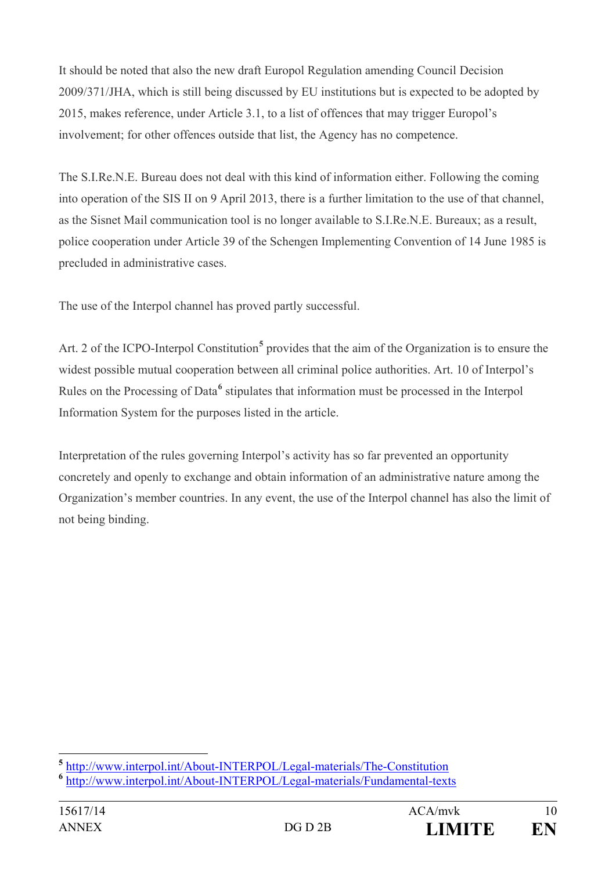It should be noted that also the new draft Europol Regulation amending Council Decision 2009/371/JHA, which is still being discussed by EU institutions but is expected to be adopted by 2015, makes reference, under Article 3.1, to a list of offences that may trigger Europol's involvement; for other offences outside that list, the Agency has no competence.

The S.I.Re.N.E. Bureau does not deal with this kind of information either. Following the coming into operation of the SIS II on 9 April 2013, there is a further limitation to the use of that channel, as the Sisnet Mail communication tool is no longer available to S.I.Re.N.E. Bureaux; as a result, police cooperation under Article 39 of the Schengen Implementing Convention of 14 June 1985 is precluded in administrative cases.

The use of the Interpol channel has proved partly successful.

Art. 2 of the ICPO-Interpol Constitution<sup>[5](#page-9-0)</sup> provides that the aim of the Organization is to ensure the widest possible mutual cooperation between all criminal police authorities. Art. 10 of Interpol's Rules on the Processing of Data<sup>[6](#page-9-1)</sup> stipulates that information must be processed in the Interpol Information System for the purposes listed in the article.

Interpretation of the rules governing Interpol's activity has so far prevented an opportunity concretely and openly to exchange and obtain information of an administrative nature among the Organization's member countries. In any event, the use of the Interpol channel has also the limit of not being binding.

 $\overline{a}$ 

<span id="page-9-0"></span>**<sup>5</sup>** <http://www.interpol.int/About-INTERPOL/Legal-materials/The-Constitution>

<span id="page-9-1"></span>**<sup>6</sup>** <http://www.interpol.int/About-INTERPOL/Legal-materials/Fundamental-texts>